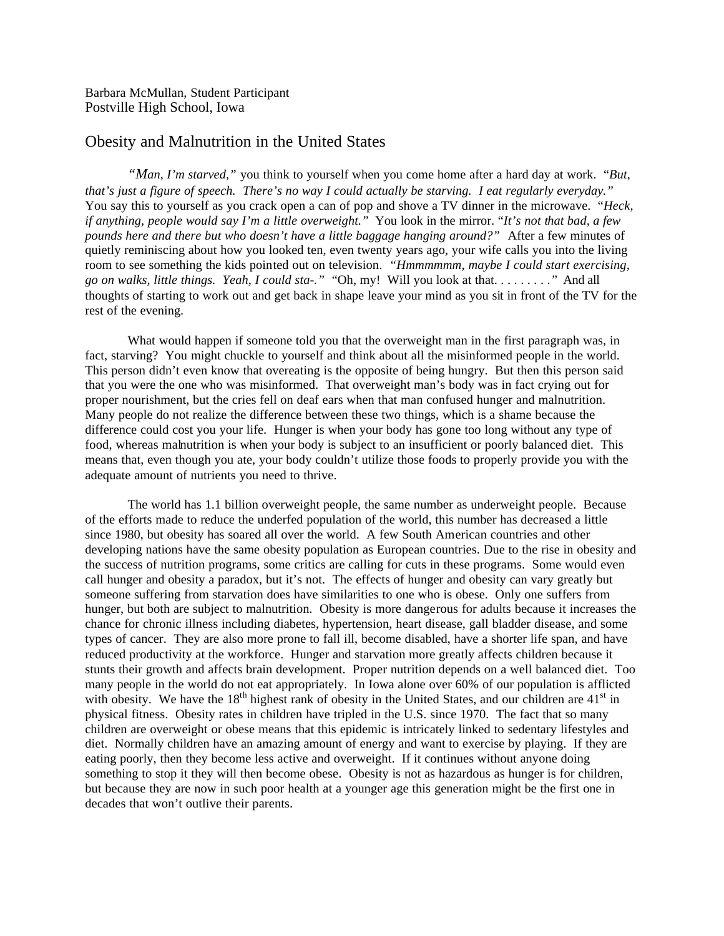Barbara McMullan, Student Participant Postville High School, Iowa

## Obesity and Malnutrition in the United States

*"Man, I'm starved,"* you think to yourself when you come home after a hard day at work. "*But, that's just a figure of speech. There's no way I could actually be starving. I eat regularly everyday."*  You say this to yourself as you crack open a can of pop and shove a TV dinner in the microwave. "*Heck, if anything, people would say I'm a little overweight."* You look in the mirror. "*It's not that bad, a few pounds here and there but who doesn't have a little baggage hanging around?"* After a few minutes of quietly reminiscing about how you looked ten, even twenty years ago, your wife calls you into the living room to see something the kids pointed out on television. *"Hmmmmmm, maybe I could start exercising, go on walks, little things. Yeah, I could sta-."* "Oh, my! Will you look at that. . . . . . . . .*"* And all thoughts of starting to work out and get back in shape leave your mind as you sit in front of the TV for the rest of the evening.

What would happen if someone told you that the overweight man in the first paragraph was, in fact, starving? You might chuckle to yourself and think about all the misinformed people in the world. This person didn't even know that overeating is the opposite of being hungry. But then this person said that you were the one who was misinformed. That overweight man's body was in fact crying out for proper nourishment, but the cries fell on deaf ears when that man confused hunger and malnutrition. Many people do not realize the difference between these two things, which is a shame because the difference could cost you your life. Hunger is when your body has gone too long without any type of food, whereas malnutrition is when your body is subject to an insufficient or poorly balanced diet. This means that, even though you ate, your body couldn't utilize those foods to properly provide you with the adequate amount of nutrients you need to thrive.

The world has 1.1 billion overweight people, the same number as underweight people. Because of the efforts made to reduce the underfed population of the world, this number has decreased a little since 1980, but obesity has soared all over the world. A few South American countries and other developing nations have the same obesity population as European countries. Due to the rise in obesity and the success of nutrition programs, some critics are calling for cuts in these programs. Some would even call hunger and obesity a paradox, but it's not. The effects of hunger and obesity can vary greatly but someone suffering from starvation does have similarities to one who is obese. Only one suffers from hunger, but both are subject to malnutrition. Obesity is more dangerous for adults because it increases the chance for chronic illness including diabetes, hypertension, heart disease, gall bladder disease, and some types of cancer. They are also more prone to fall ill, become disabled, have a shorter life span, and have reduced productivity at the workforce. Hunger and starvation more greatly affects children because it stunts their growth and affects brain development. Proper nutrition depends on a well balanced diet. Too many people in the world do not eat appropriately. In Iowa alone over 60% of our population is afflicted with obesity. We have the 18<sup>th</sup> highest rank of obesity in the United States, and our children are 41<sup>st</sup> in physical fitness. Obesity rates in children have tripled in the U.S. since 1970. The fact that so many children are overweight or obese means that this epidemic is intricately linked to sedentary lifestyles and diet. Normally children have an amazing amount of energy and want to exercise by playing. If they are eating poorly, then they become less active and overweight. If it continues without anyone doing something to stop it they will then become obese. Obesity is not as hazardous as hunger is for children, but because they are now in such poor health at a younger age this generation might be the first one in decades that won't outlive their parents.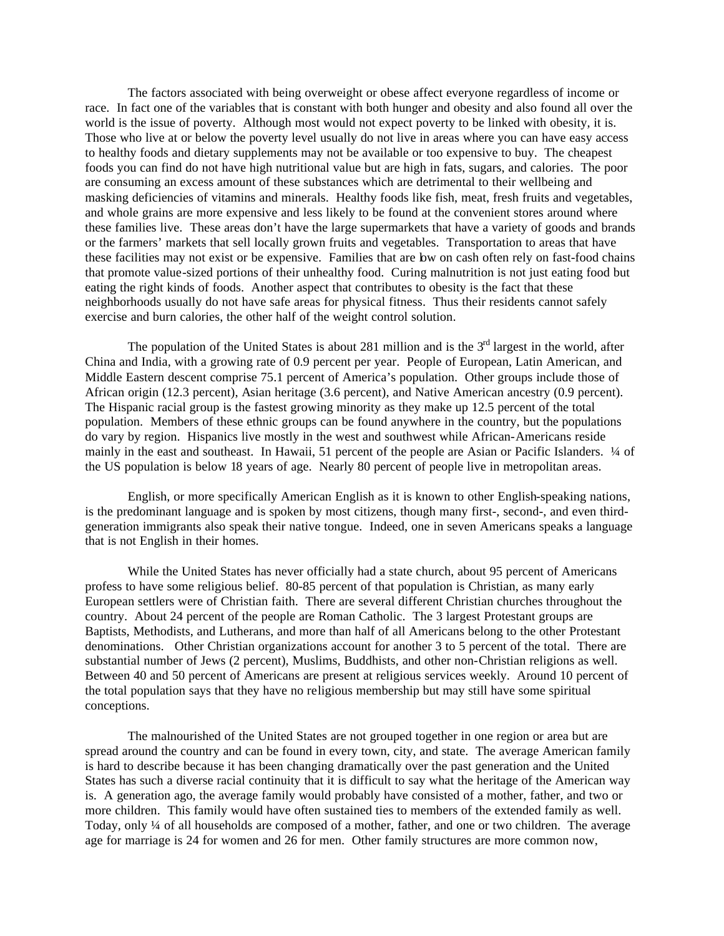The factors associated with being overweight or obese affect everyone regardless of income or race. In fact one of the variables that is constant with both hunger and obesity and also found all over the world is the issue of poverty. Although most would not expect poverty to be linked with obesity, it is. Those who live at or below the poverty level usually do not live in areas where you can have easy access to healthy foods and dietary supplements may not be available or too expensive to buy. The cheapest foods you can find do not have high nutritional value but are high in fats, sugars, and calories. The poor are consuming an excess amount of these substances which are detrimental to their wellbeing and masking deficiencies of vitamins and minerals. Healthy foods like fish, meat, fresh fruits and vegetables, and whole grains are more expensive and less likely to be found at the convenient stores around where these families live. These areas don't have the large supermarkets that have a variety of goods and brands or the farmers' markets that sell locally grown fruits and vegetables. Transportation to areas that have these facilities may not exist or be expensive. Families that are low on cash often rely on fast-food chains that promote value-sized portions of their unhealthy food. Curing malnutrition is not just eating food but eating the right kinds of foods. Another aspect that contributes to obesity is the fact that these neighborhoods usually do not have safe areas for physical fitness. Thus their residents cannot safely exercise and burn calories, the other half of the weight control solution.

The population of the United States is about 281 million and is the  $3<sup>rd</sup>$  largest in the world, after China and India, with a growing rate of 0.9 percent per year. People of European, Latin American, and Middle Eastern descent comprise 75.1 percent of America's population. Other groups include those of African origin (12.3 percent), Asian heritage (3.6 percent), and Native American ancestry (0.9 percent). The Hispanic racial group is the fastest growing minority as they make up 12.5 percent of the total population. Members of these ethnic groups can be found anywhere in the country, but the populations do vary by region. Hispanics live mostly in the west and southwest while African-Americans reside mainly in the east and southeast. In Hawaii, 51 percent of the people are Asian or Pacific Islanders. ¼ of the US population is below 18 years of age. Nearly 80 percent of people live in metropolitan areas.

English, or more specifically American English as it is known to other English-speaking nations, is the predominant language and is spoken by most citizens, though many first-, second-, and even thirdgeneration immigrants also speak their native tongue. Indeed, one in seven Americans speaks a language that is not English in their homes.

While the United States has never officially had a state church, about 95 percent of Americans profess to have some religious belief. 80-85 percent of that population is Christian, as many early European settlers were of Christian faith. There are several different Christian churches throughout the country. About 24 percent of the people are Roman Catholic. The 3 largest Protestant groups are Baptists, Methodists, and Lutherans, and more than half of all Americans belong to the other Protestant denominations. Other Christian organizations account for another 3 to 5 percent of the total. There are substantial number of Jews (2 percent), Muslims, Buddhists, and other non-Christian religions as well. Between 40 and 50 percent of Americans are present at religious services weekly. Around 10 percent of the total population says that they have no religious membership but may still have some spiritual conceptions.

The malnourished of the United States are not grouped together in one region or area but are spread around the country and can be found in every town, city, and state. The average American family is hard to describe because it has been changing dramatically over the past generation and the United States has such a diverse racial continuity that it is difficult to say what the heritage of the American way is. A generation ago, the average family would probably have consisted of a mother, father, and two or more children. This family would have often sustained ties to members of the extended family as well. Today, only ¼ of all households are composed of a mother, father, and one or two children. The average age for marriage is 24 for women and 26 for men. Other family structures are more common now,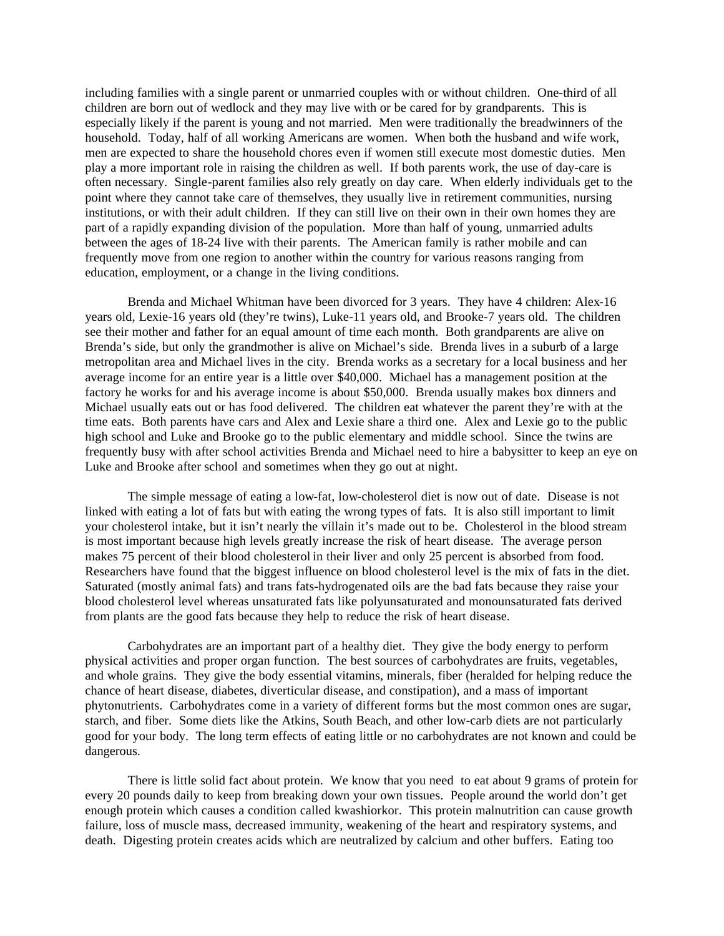including families with a single parent or unmarried couples with or without children. One-third of all children are born out of wedlock and they may live with or be cared for by grandparents. This is especially likely if the parent is young and not married. Men were traditionally the breadwinners of the household. Today, half of all working Americans are women. When both the husband and wife work, men are expected to share the household chores even if women still execute most domestic duties. Men play a more important role in raising the children as well. If both parents work, the use of day-care is often necessary. Single-parent families also rely greatly on day care. When elderly individuals get to the point where they cannot take care of themselves, they usually live in retirement communities, nursing institutions, or with their adult children. If they can still live on their own in their own homes they are part of a rapidly expanding division of the population. More than half of young, unmarried adults between the ages of 18-24 live with their parents. The American family is rather mobile and can frequently move from one region to another within the country for various reasons ranging from education, employment, or a change in the living conditions.

Brenda and Michael Whitman have been divorced for 3 years. They have 4 children: Alex-16 years old, Lexie-16 years old (they're twins), Luke-11 years old, and Brooke-7 years old. The children see their mother and father for an equal amount of time each month. Both grandparents are alive on Brenda's side, but only the grandmother is alive on Michael's side. Brenda lives in a suburb of a large metropolitan area and Michael lives in the city. Brenda works as a secretary for a local business and her average income for an entire year is a little over \$40,000. Michael has a management position at the factory he works for and his average income is about \$50,000. Brenda usually makes box dinners and Michael usually eats out or has food delivered. The children eat whatever the parent they're with at the time eats. Both parents have cars and Alex and Lexie share a third one. Alex and Lexie go to the public high school and Luke and Brooke go to the public elementary and middle school. Since the twins are frequently busy with after school activities Brenda and Michael need to hire a babysitter to keep an eye on Luke and Brooke after school and sometimes when they go out at night.

The simple message of eating a low-fat, low-cholesterol diet is now out of date. Disease is not linked with eating a lot of fats but with eating the wrong types of fats. It is also still important to limit your cholesterol intake, but it isn't nearly the villain it's made out to be. Cholesterol in the blood stream is most important because high levels greatly increase the risk of heart disease. The average person makes 75 percent of their blood cholesterol in their liver and only 25 percent is absorbed from food. Researchers have found that the biggest influence on blood cholesterol level is the mix of fats in the diet. Saturated (mostly animal fats) and trans fats-hydrogenated oils are the bad fats because they raise your blood cholesterol level whereas unsaturated fats like polyunsaturated and monounsaturated fats derived from plants are the good fats because they help to reduce the risk of heart disease.

Carbohydrates are an important part of a healthy diet. They give the body energy to perform physical activities and proper organ function. The best sources of carbohydrates are fruits, vegetables, and whole grains. They give the body essential vitamins, minerals, fiber (heralded for helping reduce the chance of heart disease, diabetes, diverticular disease, and constipation), and a mass of important phytonutrients. Carbohydrates come in a variety of different forms but the most common ones are sugar, starch, and fiber. Some diets like the Atkins, South Beach, and other low-carb diets are not particularly good for your body. The long term effects of eating little or no carbohydrates are not known and could be dangerous.

There is little solid fact about protein. We know that you need to eat about 9 grams of protein for every 20 pounds daily to keep from breaking down your own tissues. People around the world don't get enough protein which causes a condition called kwashiorkor. This protein malnutrition can cause growth failure, loss of muscle mass, decreased immunity, weakening of the heart and respiratory systems, and death. Digesting protein creates acids which are neutralized by calcium and other buffers. Eating too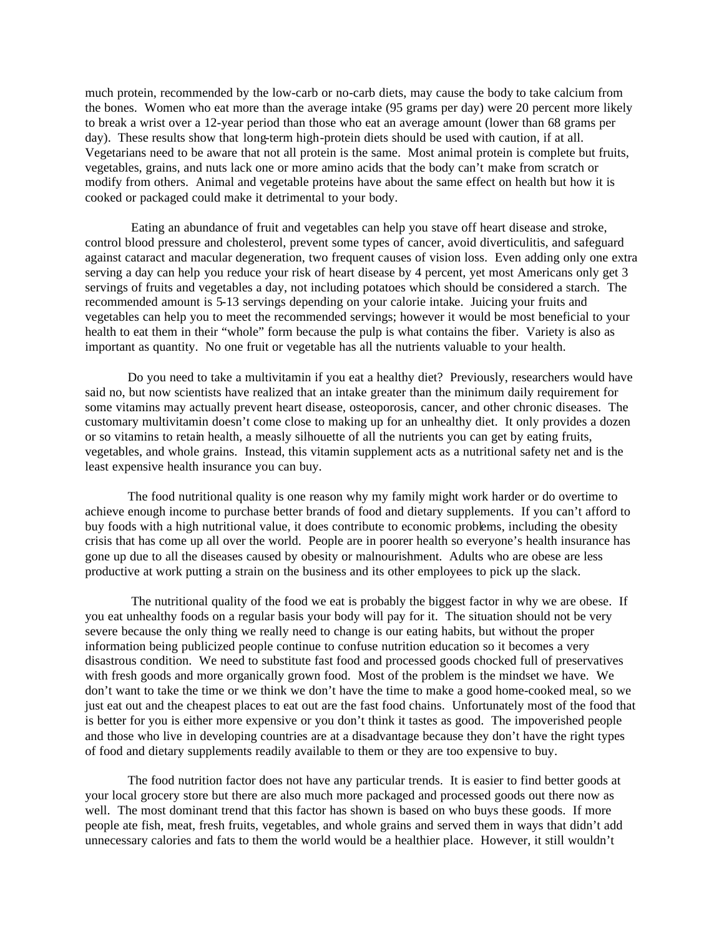much protein, recommended by the low-carb or no-carb diets, may cause the body to take calcium from the bones. Women who eat more than the average intake (95 grams per day) were 20 percent more likely to break a wrist over a 12-year period than those who eat an average amount (lower than 68 grams per day). These results show that long-term high-protein diets should be used with caution, if at all. Vegetarians need to be aware that not all protein is the same. Most animal protein is complete but fruits, vegetables, grains, and nuts lack one or more amino acids that the body can't make from scratch or modify from others. Animal and vegetable proteins have about the same effect on health but how it is cooked or packaged could make it detrimental to your body.

 Eating an abundance of fruit and vegetables can help you stave off heart disease and stroke, control blood pressure and cholesterol, prevent some types of cancer, avoid diverticulitis, and safeguard against cataract and macular degeneration, two frequent causes of vision loss. Even adding only one extra serving a day can help you reduce your risk of heart disease by 4 percent, yet most Americans only get 3 servings of fruits and vegetables a day, not including potatoes which should be considered a starch. The recommended amount is 5-13 servings depending on your calorie intake. Juicing your fruits and vegetables can help you to meet the recommended servings; however it would be most beneficial to your health to eat them in their "whole" form because the pulp is what contains the fiber. Variety is also as important as quantity. No one fruit or vegetable has all the nutrients valuable to your health.

Do you need to take a multivitamin if you eat a healthy diet? Previously, researchers would have said no, but now scientists have realized that an intake greater than the minimum daily requirement for some vitamins may actually prevent heart disease, osteoporosis, cancer, and other chronic diseases. The customary multivitamin doesn't come close to making up for an unhealthy diet. It only provides a dozen or so vitamins to retain health, a measly silhouette of all the nutrients you can get by eating fruits, vegetables, and whole grains. Instead, this vitamin supplement acts as a nutritional safety net and is the least expensive health insurance you can buy.

The food nutritional quality is one reason why my family might work harder or do overtime to achieve enough income to purchase better brands of food and dietary supplements. If you can't afford to buy foods with a high nutritional value, it does contribute to economic problems, including the obesity crisis that has come up all over the world. People are in poorer health so everyone's health insurance has gone up due to all the diseases caused by obesity or malnourishment. Adults who are obese are less productive at work putting a strain on the business and its other employees to pick up the slack.

 The nutritional quality of the food we eat is probably the biggest factor in why we are obese. If you eat unhealthy foods on a regular basis your body will pay for it. The situation should not be very severe because the only thing we really need to change is our eating habits, but without the proper information being publicized people continue to confuse nutrition education so it becomes a very disastrous condition. We need to substitute fast food and processed goods chocked full of preservatives with fresh goods and more organically grown food. Most of the problem is the mindset we have. We don't want to take the time or we think we don't have the time to make a good home-cooked meal, so we just eat out and the cheapest places to eat out are the fast food chains. Unfortunately most of the food that is better for you is either more expensive or you don't think it tastes as good. The impoverished people and those who live in developing countries are at a disadvantage because they don't have the right types of food and dietary supplements readily available to them or they are too expensive to buy.

The food nutrition factor does not have any particular trends. It is easier to find better goods at your local grocery store but there are also much more packaged and processed goods out there now as well. The most dominant trend that this factor has shown is based on who buys these goods. If more people ate fish, meat, fresh fruits, vegetables, and whole grains and served them in ways that didn't add unnecessary calories and fats to them the world would be a healthier place. However, it still wouldn't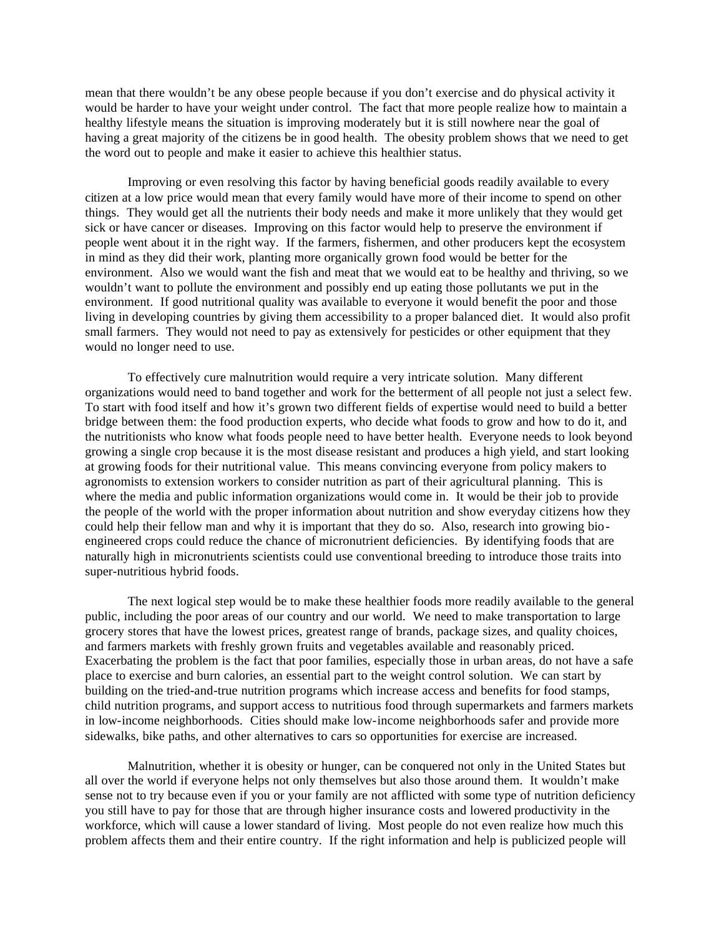mean that there wouldn't be any obese people because if you don't exercise and do physical activity it would be harder to have your weight under control. The fact that more people realize how to maintain a healthy lifestyle means the situation is improving moderately but it is still nowhere near the goal of having a great majority of the citizens be in good health. The obesity problem shows that we need to get the word out to people and make it easier to achieve this healthier status.

Improving or even resolving this factor by having beneficial goods readily available to every citizen at a low price would mean that every family would have more of their income to spend on other things. They would get all the nutrients their body needs and make it more unlikely that they would get sick or have cancer or diseases. Improving on this factor would help to preserve the environment if people went about it in the right way. If the farmers, fishermen, and other producers kept the ecosystem in mind as they did their work, planting more organically grown food would be better for the environment. Also we would want the fish and meat that we would eat to be healthy and thriving, so we wouldn't want to pollute the environment and possibly end up eating those pollutants we put in the environment. If good nutritional quality was available to everyone it would benefit the poor and those living in developing countries by giving them accessibility to a proper balanced diet. It would also profit small farmers. They would not need to pay as extensively for pesticides or other equipment that they would no longer need to use.

To effectively cure malnutrition would require a very intricate solution. Many different organizations would need to band together and work for the betterment of all people not just a select few. To start with food itself and how it's grown two different fields of expertise would need to build a better bridge between them: the food production experts, who decide what foods to grow and how to do it, and the nutritionists who know what foods people need to have better health. Everyone needs to look beyond growing a single crop because it is the most disease resistant and produces a high yield, and start looking at growing foods for their nutritional value. This means convincing everyone from policy makers to agronomists to extension workers to consider nutrition as part of their agricultural planning. This is where the media and public information organizations would come in. It would be their job to provide the people of the world with the proper information about nutrition and show everyday citizens how they could help their fellow man and why it is important that they do so. Also, research into growing bioengineered crops could reduce the chance of micronutrient deficiencies. By identifying foods that are naturally high in micronutrients scientists could use conventional breeding to introduce those traits into super-nutritious hybrid foods.

The next logical step would be to make these healthier foods more readily available to the general public, including the poor areas of our country and our world. We need to make transportation to large grocery stores that have the lowest prices, greatest range of brands, package sizes, and quality choices, and farmers markets with freshly grown fruits and vegetables available and reasonably priced. Exacerbating the problem is the fact that poor families, especially those in urban areas, do not have a safe place to exercise and burn calories, an essential part to the weight control solution. We can start by building on the tried-and-true nutrition programs which increase access and benefits for food stamps, child nutrition programs, and support access to nutritious food through supermarkets and farmers markets in low-income neighborhoods. Cities should make low-income neighborhoods safer and provide more sidewalks, bike paths, and other alternatives to cars so opportunities for exercise are increased.

Malnutrition, whether it is obesity or hunger, can be conquered not only in the United States but all over the world if everyone helps not only themselves but also those around them. It wouldn't make sense not to try because even if you or your family are not afflicted with some type of nutrition deficiency you still have to pay for those that are through higher insurance costs and lowered productivity in the workforce, which will cause a lower standard of living. Most people do not even realize how much this problem affects them and their entire country. If the right information and help is publicized people will